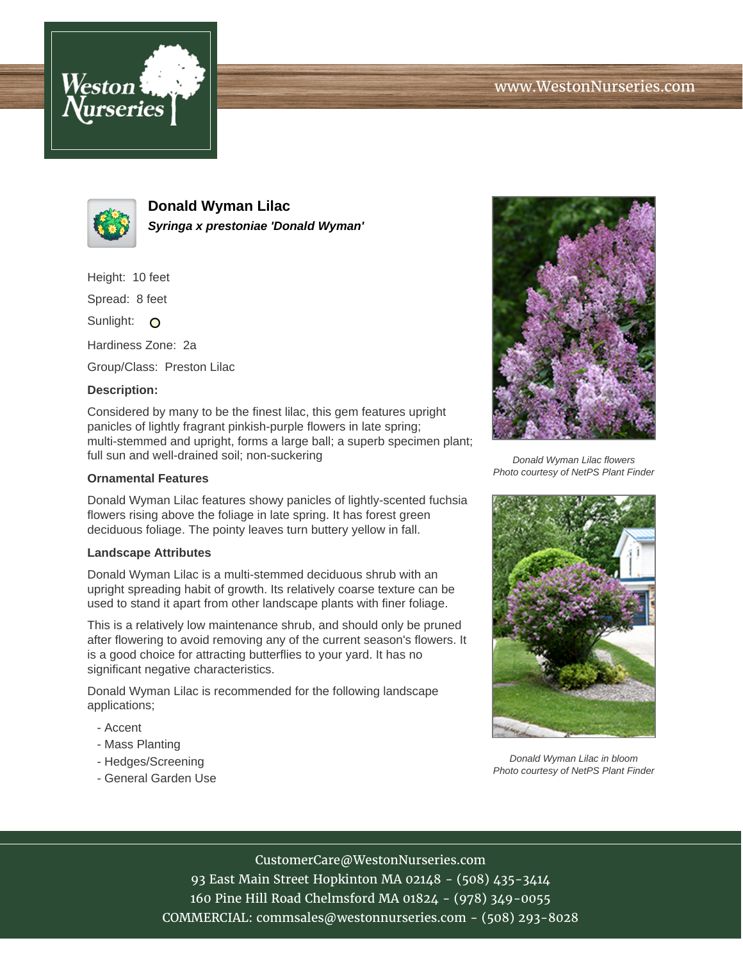



**Donald Wyman Lilac Syringa x prestoniae 'Donald Wyman'**

Height: 10 feet

Spread: 8 feet

Sunlight: O

Hardiness Zone: 2a

Group/Class: Preston Lilac

## **Description:**

Considered by many to be the finest lilac, this gem features upright panicles of lightly fragrant pinkish-purple flowers in late spring; multi-stemmed and upright, forms a large ball; a superb specimen plant; full sun and well-drained soil; non-suckering

## **Ornamental Features**

Donald Wyman Lilac features showy panicles of lightly-scented fuchsia flowers rising above the foliage in late spring. It has forest green deciduous foliage. The pointy leaves turn buttery yellow in fall.

## **Landscape Attributes**

Donald Wyman Lilac is a multi-stemmed deciduous shrub with an upright spreading habit of growth. Its relatively coarse texture can be used to stand it apart from other landscape plants with finer foliage.

This is a relatively low maintenance shrub, and should only be pruned after flowering to avoid removing any of the current season's flowers. It is a good choice for attracting butterflies to your yard. It has no significant negative characteristics.

Donald Wyman Lilac is recommended for the following landscape applications;

- Accent
- Mass Planting
- Hedges/Screening
- General Garden Use



Donald Wyman Lilac flowers Photo courtesy of NetPS Plant Finder



Donald Wyman Lilac in bloom Photo courtesy of NetPS Plant Finder

CustomerCare@WestonNurseries.com

93 East Main Street Hopkinton MA 02148 - (508) 435-3414 160 Pine Hill Road Chelmsford MA 01824 - (978) 349-0055 COMMERCIAL: commsales@westonnurseries.com - (508) 293-8028